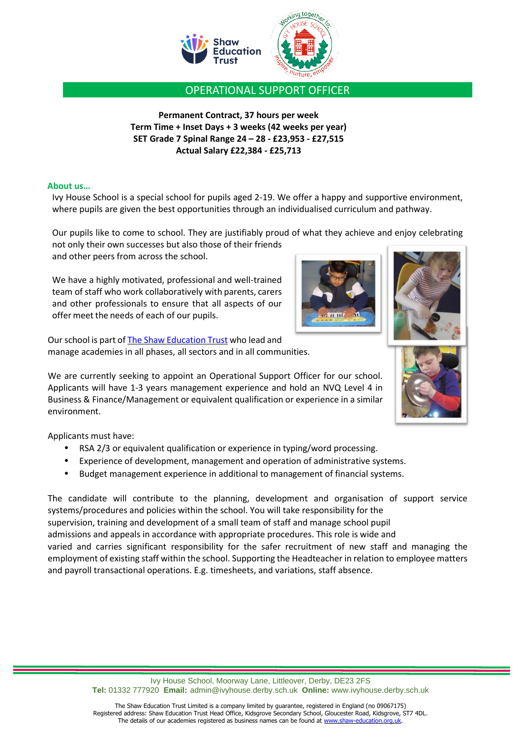

OPERATIONAL SUPPORT OFFICER

**Permanent Contract, 37 hours per week Term Time + Inset Days + 3 weeks (42 weeks per year) SET Grade 7 Spinal Range 24 – 28 - £23,953 - £27,515 Actual Salary £22,384 - £25,713**

## **About us…**

Ivy House School is a special school for pupils aged 2-19. We offer a happy and supportive environment, where pupils are given the best opportunities through an individualised curriculum and pathway.

Our pupils like to come to school. They are justifiably proud of what they achieve and enjoy celebrating not only their own successes but also those of their friends

and other peers from across the school.

We have a highly motivated, professional and well-trained team of staff who work collaboratively with parents, carers and other professionals to ensure that all aspects of our offer meet the needs of each of our pupils.

Our school is part o[f The Shaw Education Trust](http://www.shaw-education.org.uk/) who lead and manage academies in all phases, all sectors and in all communities.

We are currently seeking to appoint an Operational Support Officer for our school. Applicants will have 1-3 years management experience and hold an NVQ Level 4 in Business & Finance/Management or equivalent qualification or experience in a similar environment.

Applicants must have:

- RSA 2/3 or equivalent qualification or experience in typing/word processing.
- Experience of development, management and operation of administrative systems.
- Budget management experience in additional to management of financial systems.

The candidate will contribute to the planning, development and organisation of support service systems/procedures and policies within the school. You will take responsibility for the supervision, training and development of a small team of staff and manage school pupil admissions and appeals in accordance with appropriate procedures. This role is wide and varied and carries significant responsibility for the safer recruitment of new staff and managing the employment of existing staff within the school. Supporting the Headteacher in relation to employee matters and payroll transactional operations. E.g. timesheets, and variations, staff absence.

> Ivy House School, Moorway Lane, Littleover, Derby, DE23 2FS **Tel:** 01332 777920 **Email:** [admin@ivyhouse.derby.sch.uk](mailto:admin@ivyhouse.derby.sch.uk) **Online:** [www.ivyhouse.derby.sch.uk](http://www.ivyhouse.derby.sch.uk/)